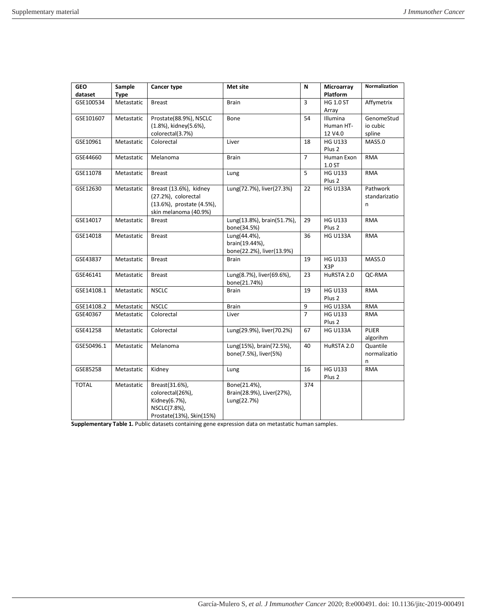| <b>GEO</b><br>dataset | Sample<br><b>Type</b> | <b>Cancer type</b>                                                                                  | Met site                                                    | N              | Microarray<br>Platform              | Normalization                    |
|-----------------------|-----------------------|-----------------------------------------------------------------------------------------------------|-------------------------------------------------------------|----------------|-------------------------------------|----------------------------------|
| GSE100534             | Metastatic            | <b>Breast</b>                                                                                       | Brain                                                       | 3              | <b>HG 1.0 ST</b><br>Array           | Affymetrix                       |
| GSE101607             | Metastatic            | Prostate(88.9%), NSCLC<br>(1.8%), kidney(5.6%),<br>colorectal(3.7%)                                 | Bone                                                        | 54             | Illumina<br>Human HT-<br>12 V4.0    | GenomeStud<br>io cubic<br>spline |
| GSE10961              | Metastatic            | Colorectal                                                                                          | Liver                                                       | 18             | <b>HG U133</b><br>Plus <sub>2</sub> | <b>MAS5.0</b>                    |
| GSE44660              | Metastatic            | Melanoma                                                                                            | <b>Brain</b>                                                | $\overline{7}$ | Human Exon<br>1.0 ST                | <b>RMA</b>                       |
| GSE11078              | Metastatic            | <b>Breast</b>                                                                                       | Lung                                                        | 5              | <b>HG U133</b><br>Plus 2            | <b>RMA</b>                       |
| GSE12630              | Metastatic            | Breast (13.6%), kidney<br>(27.2%), colorectal<br>(13.6%), prostate (4.5%),<br>skin melanoma (40.9%) | Lung(72.7%), liver(27.3%)                                   | 22             | <b>HG U133A</b>                     | Pathwork<br>standarizatio<br>n   |
| GSE14017              | Metastatic            | <b>Breast</b>                                                                                       | Lung(13.8%), brain(51.7%),<br>bone(34.5%)                   | 29             | <b>HG U133</b><br>Plus <sub>2</sub> | RMA                              |
| GSE14018              | Metastatic            | <b>Breast</b>                                                                                       | Lung(44.4%),<br>brain(19.44%),<br>bone(22.2%), liver(13.9%) | 36             | <b>HG U133A</b>                     | RMA                              |
| GSE43837              | Metastatic            | <b>Breast</b>                                                                                       | Brain                                                       | 19             | <b>HG U133</b><br>X3P               | MAS5.0                           |
| GSE46141              | Metastatic            | <b>Breast</b>                                                                                       | Lung(8.7%), liver(69.6%),<br>bone(21.74%)                   | 23             | HuRSTA 2.0                          | QC-RMA                           |
| GSE14108.1            | Metastatic            | <b>NSCLC</b>                                                                                        | <b>Brain</b>                                                | 19             | <b>HG U133</b><br>Plus <sub>2</sub> | RMA                              |
| GSE14108.2            | Metastatic            | <b>NSCLC</b>                                                                                        | <b>Brain</b>                                                | 9              | <b>HG U133A</b>                     | <b>RMA</b>                       |
| GSE40367              | Metastatic            | Colorectal                                                                                          | Liver                                                       | $\overline{7}$ | <b>HG U133</b><br>Plus <sub>2</sub> | <b>RMA</b>                       |
| GSE41258              | Metastatic            | Colorectal                                                                                          | Lung(29.9%), liver(70.2%)                                   | 67             | <b>HG U133A</b>                     | <b>PLIER</b><br>algorihm         |
| GSE50496.1            | Metastatic            | Melanoma                                                                                            | Lung(15%), brain(72.5%),<br>bone(7.5%), liver(5%)           | 40             | HuRSTA 2.0                          | Quantile<br>normalizatio<br>n    |
| GSE85258              | Metastatic            | Kidney                                                                                              | Lung                                                        | 16             | <b>HG U133</b><br>Plus <sub>2</sub> | <b>RMA</b>                       |
| <b>TOTAL</b>          | Metastatic            | Breast(31.6%),<br>colorectal(26%),<br>Kidney(6.7%),<br>NSCLC(7.8%),<br>Prostate(13%), Skin(15%)     | Bone(21.4%),<br>Brain(28.9%), Liver(27%),<br>Lung(22.7%)    | 374            |                                     |                                  |

**Supplementary Table 1.** Public datasets containing gene expression data on metastatic human samples.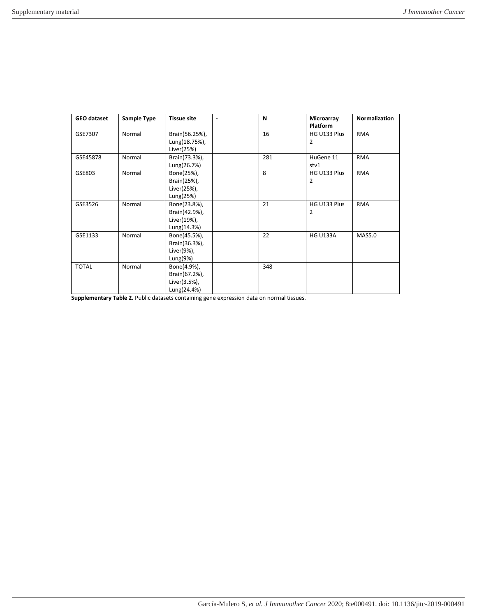| <b>GEO dataset</b> | <b>Sample Type</b> | <b>Tissue site</b> | N   | Microarray<br><b>Platform</b> | Normalization |
|--------------------|--------------------|--------------------|-----|-------------------------------|---------------|
| GSE7307            | Normal             | Brain(56.25%),     | 16  | HG U133 Plus                  | <b>RMA</b>    |
|                    |                    | Lung(18.75%),      |     | 2                             |               |
|                    |                    | Liver(25%)         |     |                               |               |
| GSE45878           | Normal             | Brain(73.3%),      | 281 | HuGene 11                     | <b>RMA</b>    |
|                    |                    | Lung(26.7%)        |     | stv1                          |               |
| GSE803             | Normal             | Bone(25%),         | 8   | HG U133 Plus                  | <b>RMA</b>    |
|                    |                    | Brain(25%),        |     | $\overline{2}$                |               |
|                    |                    | Liver(25%),        |     |                               |               |
|                    |                    | Lung(25%)          |     |                               |               |
| GSE3526            | Normal             | Bone(23.8%),       | 21  | HG U133 Plus                  | <b>RMA</b>    |
|                    |                    | Brain(42.9%),      |     | 2                             |               |
|                    |                    | Liver(19%),        |     |                               |               |
|                    |                    | Lung(14.3%)        |     |                               |               |
| GSE1133            | Normal             | Bone(45.5%),       | 22  | <b>HG U133A</b>               | <b>MAS5.0</b> |
|                    |                    | Brain(36.3%),      |     |                               |               |
|                    |                    | Liver(9%),         |     |                               |               |
|                    |                    | Lung(9%)           |     |                               |               |
| <b>TOTAL</b>       | Normal             | Bone(4.9%),        | 348 |                               |               |
|                    |                    | Brain(67.2%),      |     |                               |               |
|                    |                    | Liver(3.5%),       |     |                               |               |
|                    |                    | Lung(24.4%)        |     |                               |               |

**Supplementary Table 2.** Public datasets containing gene expression data on normal tissues.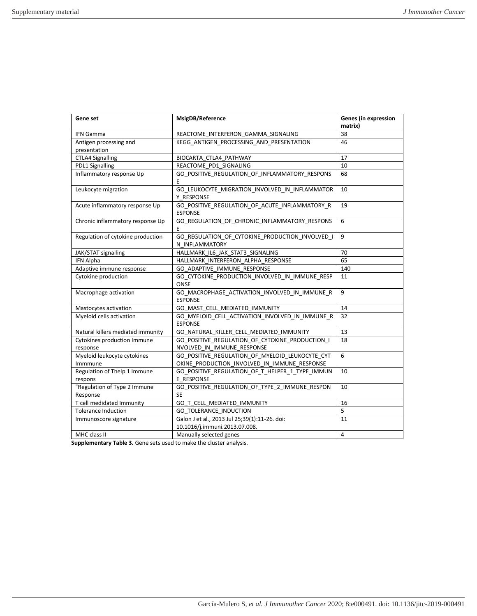| Gene set                                 | MsigDB/Reference                                                                                | <b>Genes (in expression</b><br>matrix) |
|------------------------------------------|-------------------------------------------------------------------------------------------------|----------------------------------------|
| <b>IFN Gamma</b>                         | REACTOME_INTERFERON_GAMMA_SIGNALING                                                             | 38                                     |
| Antigen processing and                   | KEGG ANTIGEN PROCESSING AND PRESENTATION                                                        | 46                                     |
| presentation                             |                                                                                                 | 17                                     |
| <b>CTLA4 Signalling</b>                  | BIOCARTA CTLA4 PATHWAY                                                                          | 10                                     |
| PDL1 Signalling                          | REACTOME_PD1_SIGNALING                                                                          |                                        |
| Inflammatory response Up                 | GO_POSITIVE_REGULATION_OF_INFLAMMATORY_RESPONS<br>E                                             | 68                                     |
| Leukocyte migration                      | GO LEUKOCYTE MIGRATION INVOLVED IN INFLAMMATOR<br>Y RESPONSE                                    | 10                                     |
| Acute inflammatory response Up           | GO_POSITIVE_REGULATION_OF_ACUTE_INFLAMMATORY_R<br><b>ESPONSE</b>                                | 19                                     |
| Chronic inflammatory response Up         | GO_REGULATION_OF_CHRONIC_INFLAMMATORY_RESPONS<br>E                                              | 6                                      |
| Regulation of cytokine production        | GO REGULATION OF CYTOKINE PRODUCTION INVOLVED I<br>N INFLAMMATORY                               | 9                                      |
| JAK/STAT signalling                      | HALLMARK IL6 JAK STAT3 SIGNALING                                                                | 70                                     |
| <b>IFN Alpha</b>                         | HALLMARK INTERFERON ALPHA RESPONSE                                                              | 65                                     |
| Adaptive immune response                 | GO ADAPTIVE IMMUNE RESPONSE                                                                     | 140                                    |
| Cytokine production                      | GO_CYTOKINE_PRODUCTION_INVOLVED_IN_IMMUNE_RESP<br><b>ONSE</b>                                   | 11                                     |
| Macrophage activation                    | GO MACROPHAGE ACTIVATION INVOLVED IN IMMUNE R<br><b>ESPONSE</b>                                 | 9                                      |
| Mastocytes activation                    | GO MAST CELL MEDIATED IMMUNITY                                                                  | 14                                     |
| Myeloid cells activation                 | GO MYELOID CELL ACTIVATION INVOLVED IN IMMUNE R<br><b>ESPONSE</b>                               | 32                                     |
| Natural killers mediated immunity        | GO_NATURAL_KILLER_CELL_MEDIATED_IMMUNITY                                                        | 13                                     |
| Cytokines production Immune<br>response  | GO POSITIVE REGULATION OF CYTOKINE PRODUCTION I<br>NVOLVED IN IMMUNE RESPONSE                   | 18                                     |
| Myeloid leukocyte cytokines<br>Immmune   | GO POSITIVE REGULATION OF MYELOID LEUKOCYTE CYT<br>OKINE_PRODUCTION_INVOLVED_IN_IMMUNE_RESPONSE | 6                                      |
| Regulation of Thelp 1 Immune<br>respons  | GO_POSITIVE_REGULATION_OF_T_HELPER_1_TYPE_IMMUN<br>E RESPONSE                                   | 10                                     |
| "Regulation of Type 2 Immune<br>Response | GO_POSITIVE_REGULATION_OF_TYPE_2_IMMUNE_RESPON<br><b>SE</b>                                     | 10                                     |
| T cell medidated Immunity                | GO T CELL MEDIATED IMMUNITY                                                                     | 16                                     |
| <b>Tolerance Induction</b>               | <b>GO TOLERANCE INDUCTION</b>                                                                   | 5                                      |
| Immunoscore signature                    | Galon J et al., 2013 Jul 25;39(1):11-26. doi:<br>10.1016/j.immuni.2013.07.008.                  | 11                                     |
| MHC class II                             | Manually selected genes                                                                         | 4                                      |

**Supplementary Table 3.** Gene sets used to make the cluster analysis.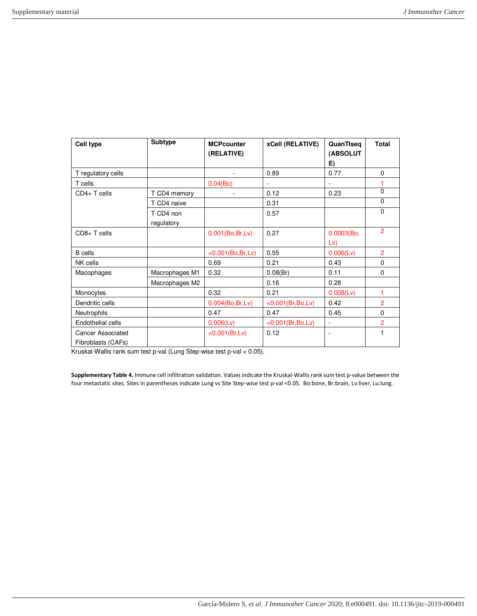| Cell type                               | <b>Subtype</b>          | <b>MCPcounter</b><br>(RELATIVE) | xCell (RELATIVE)   | QuanTiseq<br>(ABSOLUT<br>E) | <b>Total</b>   |
|-----------------------------------------|-------------------------|---------------------------------|--------------------|-----------------------------|----------------|
| T regulatory cells                      |                         |                                 | 0.89               | 0.77                        | $\Omega$       |
| T cells                                 |                         | 0.04(Bo)                        | ÷,                 | ÷.                          |                |
| $CD4+T$ cells                           | T CD4 memory            |                                 | 0.12               | 0.23                        | $\Omega$       |
|                                         | T CD4 naive             |                                 | 0.31               |                             | $\Omega$       |
|                                         | T CD4 non<br>regulatory |                                 | 0.57               |                             | $\Omega$       |
| $CD8+T$ cells                           |                         | 0.001(Bo, Br, Lv)               | 0.27               | 0.0003(Bo,<br>Lv)           | 2              |
| <b>B</b> cells                          |                         | <0.001(Bo, Br, Lv)              | 0.55               | $0.006$ (Lv)                | $\overline{2}$ |
| NK cells                                |                         | 0.69                            | 0.21               | 0.43                        | $\Omega$       |
| Macophages                              | Macrophages M1          | 0.32                            | 0.08(Br)           | 0.11                        | $\Omega$       |
|                                         | Macrophages M2          |                                 | 0.16               | 0.28                        |                |
| Monocytes                               |                         | 0.32                            | 0.21               | 0.008 (Lv)                  | 1              |
| Dendritic cells                         |                         | 0.004(Bo, Br, Lv)               | <0.001(Br, Bo, Lv) | 0.42                        | $\overline{2}$ |
| <b>Neutrophils</b>                      |                         | 0.47                            | 0.47               | 0.45                        | 0              |
| Endothelial cells                       |                         | $0.006$ (Lv)                    | <0.001(Br, Bo, Lv) | $\overline{\phantom{a}}$    | $\overline{2}$ |
| Cancer Associated<br>Fibroblasts (CAFs) |                         | <0.001(Br,Lv)                   | 0.12               | $\overline{\phantom{a}}$    | 1              |

Kruskal-Wallis rank sum test p-val (Lung Step-wise test p-val < 0.05).

**Supplementary Table 4.** Immune cell infiltration validation. Values indicate the Kruskal-Wallis rank sum test p-value between the four metastatic sites. Sites in parentheses indicate Lung vs Site Step-wise test p-val <0.05. Bo:bone, Br:brain, Lv:liver, Lu:lung.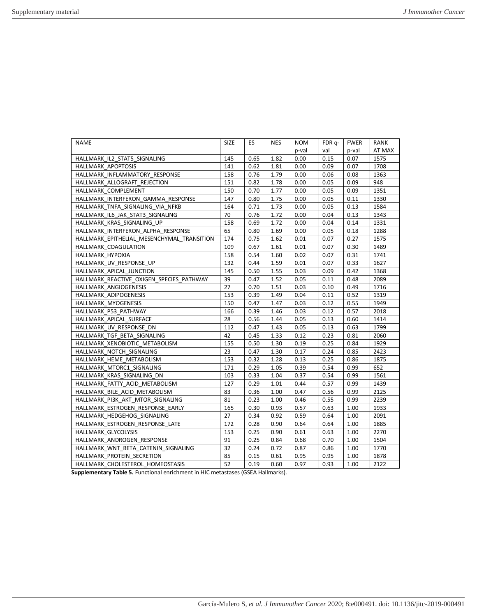| SIZE | ES   | NES  | <b>NOM</b> | FDR q- | <b>FWER</b> | RANK   |
|------|------|------|------------|--------|-------------|--------|
|      |      |      | p-val      | val    | p-val       | AT MAX |
| 145  | 0.65 | 1.82 | 0.00       | 0.15   | 0.07        | 1575   |
| 141  | 0.62 | 1.81 | 0.00       | 0.09   | 0.07        | 1708   |
| 158  | 0.76 | 1.79 | 0.00       | 0.06   | 0.08        | 1363   |
| 151  | 0.82 | 1.78 | 0.00       | 0.05   | 0.09        | 948    |
| 150  | 0.70 | 1.77 | 0.00       | 0.05   | 0.09        | 1351   |
| 147  | 0.80 | 1.75 | 0.00       | 0.05   | 0.11        | 1330   |
| 164  | 0.71 | 1.73 | 0.00       | 0.05   | 0.13        | 1584   |
| 70   | 0.76 | 1.72 | 0.00       | 0.04   | 0.13        | 1343   |
| 158  | 0.69 | 1.72 | 0.00       | 0.04   | 0.14        | 1331   |
| 65   | 0.80 | 1.69 | 0.00       | 0.05   | 0.18        | 1288   |
| 174  | 0.75 | 1.62 | 0.01       | 0.07   | 0.27        | 1575   |
| 109  | 0.67 | 1.61 | 0.01       | 0.07   | 0.30        | 1489   |
| 158  | 0.54 | 1.60 | 0.02       | 0.07   | 0.31        | 1741   |
| 132  | 0.44 | 1.59 | 0.01       | 0.07   | 0.33        | 1627   |
| 145  | 0.50 | 1.55 | 0.03       | 0.09   | 0.42        | 1368   |
| 39   | 0.47 | 1.52 | 0.05       | 0.11   | 0.48        | 2089   |
| 27   | 0.70 | 1.51 | 0.03       | 0.10   | 0.49        | 1716   |
| 153  | 0.39 | 1.49 | 0.04       | 0.11   | 0.52        | 1319   |
| 150  | 0.47 | 1.47 | 0.03       | 0.12   | 0.55        | 1949   |
| 166  | 0.39 | 1.46 | 0.03       | 0.12   | 0.57        | 2018   |
| 28   | 0.56 | 1.44 | 0.05       | 0.13   | 0.60        | 1414   |
| 112  | 0.47 | 1.43 | 0.05       | 0.13   | 0.63        | 1799   |
| 42   | 0.45 | 1.33 | 0.12       | 0.23   | 0.81        | 2060   |
| 155  | 0.50 | 1.30 | 0.19       | 0.25   | 0.84        | 1929   |
| 23   | 0.47 | 1.30 | 0.17       | 0.24   | 0.85        | 2423   |
| 153  | 0.32 | 1.28 | 0.13       | 0.25   | 0.86        | 1875   |
| 171  | 0.29 | 1.05 | 0.39       | 0.54   | 0.99        | 652    |
| 103  | 0.33 | 1.04 | 0.37       | 0.54   | 0.99        | 1561   |
| 127  | 0.29 | 1.01 | 0.44       | 0.57   | 0.99        | 1439   |
| 83   | 0.36 | 1.00 | 0.47       | 0.56   | 0.99        | 2125   |
| 81   | 0.23 | 1.00 | 0.46       | 0.55   | 0.99        | 2239   |
| 165  | 0.30 | 0.93 | 0.57       | 0.63   | 1.00        | 1933   |
| 27   | 0.34 | 0.92 | 0.59       | 0.64   | 1.00        | 2091   |
| 172  | 0.28 | 0.90 | 0.64       | 0.64   | 1.00        | 1885   |
| 153  | 0.25 | 0.90 | 0.61       | 0.63   | 1.00        | 2270   |
| 91   | 0.25 | 0.84 | 0.68       | 0.70   | 1.00        | 1504   |
| 32   | 0.24 | 0.72 | 0.87       | 0.86   | 1.00        | 1770   |
| 85   | 0.15 | 0.61 | 0.95       | 0.95   | 1.00        | 1878   |
| 52   | 0.19 | 0.60 | 0.97       | 0.93   | 1.00        | 2122   |
|      |      |      |            |        |             |        |

**Supplementary Table 5.** Functional enrichment in HIC metastases (GSEA Hallmarks).